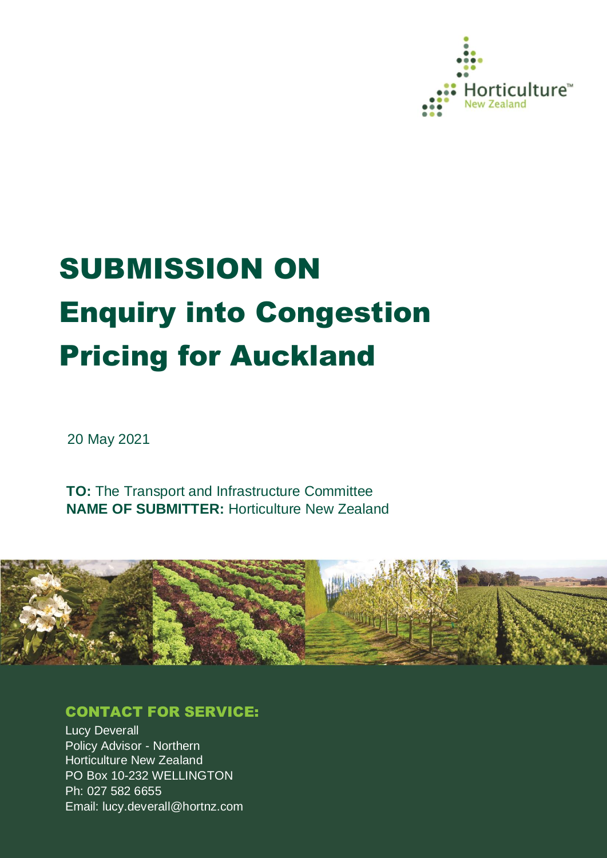

# SUBMISSION ON Enquiry into Congestion Pricing for Auckland

20 May 2021

**TO:** The Transport and Infrastructure Committee **NAME OF SUBMITTER:** Horticulture New Zealand



## CONTACT FOR SERVICE:

Lucy Deverall Policy Advisor - Northern Horticulture New Zealand PO Box 10-232 WELLINGTON Ph: 027 582 6655 Email: lucy.deverall@hortnz.com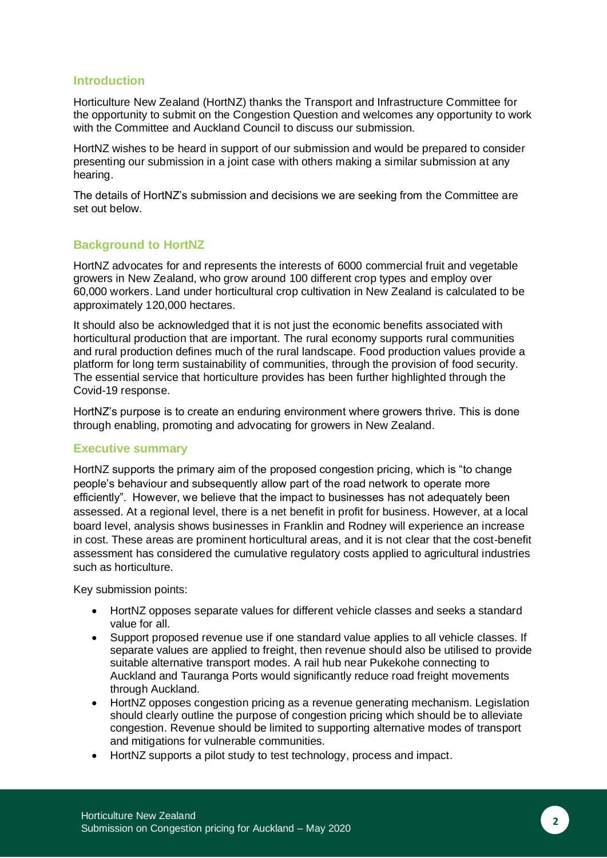## **Introduction**

Horticulture New Zealand (HortNZ) thanks the Transport and Infrastructure Committee for the opportunity to submit on the Congestion Question and welcomes any opportunity to work with the Committee and Auckland Council to discuss our submission.

HortNZ wishes to be heard in support of our submission and would be prepared to consider presenting our submission in a joint case with others making a similar submission at any hearing.

The details of HortNZ's submission and decisions we are seeking from the Committee are set out below.

## **Background to HortNZ**

HortNZ advocates for and represents the interests of 6000 commercial fruit and vegetable growers in New Zealand, who grow around 100 different crop types and employ over 60,000 workers. Land under horticultural crop cultivation in New Zealand is calculated to be approximately 120,000 hectares.

It should also be acknowledged that it is not just the economic benefits associated with horticultural production that are important. The rural economy supports rural communities and rural production defines much of the rural landscape. Food production values provide a platform for long term sustainability of communities, through the provision of food security. The essential service that horticulture provides has been further highlighted through the Covid-19 response.

HortNZ's purpose is to create an enduring environment where growers thrive. This is done through enabling, promoting and advocating for growers in New Zealand.

## **Executive summary**

HortNZ supports the primary aim of the proposed congestion pricing, which is "to change people's behaviour and subsequently allow part of the road network to operate more efficiently". However, we believe that the impact to businesses has not adequately been assessed. At a regional level, there is a net benefit in profit for business. However, at a local board level, analysis shows businesses in Franklin and Rodney will experience an increase in cost. These areas are prominent horticultural areas, and it is not clear that the cost-benefit assessment has considered the cumulative regulatory costs applied to agricultural industries such as horticulture.

Key submission points:

- HortNZ opposes separate values for different vehicle classes and seeks a standard value for all.
- Support proposed revenue use if one standard value applies to all vehicle classes. If separate values are applied to freight, then revenue should also be utilised to provide suitable alternative transport modes. A rail hub near Pukekohe connecting to Auckland and Tauranga Ports would significantly reduce road freight movements through Auckland.
- HortNZ opposes congestion pricing as a revenue generating mechanism. Legislation should clearly outline the purpose of congestion pricing which should be to alleviate congestion. Revenue should be limited to supporting alternative modes of transport and mitigations for vulnerable communities.
- HortNZ supports a pilot study to test technology, process and impact.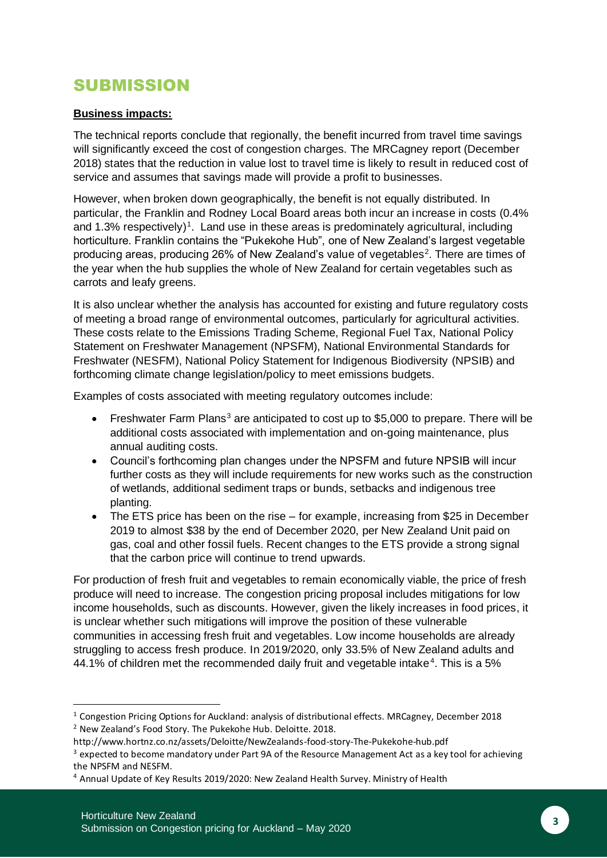## SUBMISSION

## **Business impacts:**

The technical reports conclude that regionally, the benefit incurred from travel time savings will significantly exceed the cost of congestion charges. The MRCagney report (December 2018) states that the reduction in value lost to travel time is likely to result in reduced cost of service and assumes that savings made will provide a profit to businesses.

However, when broken down geographically, the benefit is not equally distributed. In particular, the Franklin and Rodney Local Board areas both incur an increase in costs (0.4% and 1.3% respectively)<sup>1</sup>. Land use in these areas is predominately agricultural, including horticulture. Franklin contains the "Pukekohe Hub", one of New Zealand's largest vegetable producing areas, producing 26% of New Zealand's value of vegetables<sup>2</sup>. There are times of the year when the hub supplies the whole of New Zealand for certain vegetables such as carrots and leafy greens.

It is also unclear whether the analysis has accounted for existing and future regulatory costs of meeting a broad range of environmental outcomes, particularly for agricultural activities. These costs relate to the Emissions Trading Scheme, Regional Fuel Tax, National Policy Statement on Freshwater Management (NPSFM), National Environmental Standards for Freshwater (NESFM), National Policy Statement for Indigenous Biodiversity (NPSIB) and forthcoming climate change legislation/policy to meet emissions budgets.

Examples of costs associated with meeting regulatory outcomes include:

- Freshwater Farm Plans<sup>3</sup> are anticipated to cost up to \$5,000 to prepare. There will be additional costs associated with implementation and on-going maintenance, plus annual auditing costs.
- Council's forthcoming plan changes under the NPSFM and future NPSIB will incur further costs as they will include requirements for new works such as the construction of wetlands, additional sediment traps or bunds, setbacks and indigenous tree planting.
- The ETS price has been on the rise for example, increasing from \$25 in December 2019 to almost \$38 by the end of December 2020, per New Zealand Unit paid on gas, coal and other fossil fuels. Recent changes to the ETS provide a strong signal that the carbon price will continue to trend upwards.

For production of fresh fruit and vegetables to remain economically viable, the price of fresh produce will need to increase. The congestion pricing proposal includes mitigations for low income households, such as discounts. However, given the likely increases in food prices, it is unclear whether such mitigations will improve the position of these vulnerable communities in accessing fresh fruit and vegetables. Low income households are already struggling to access fresh produce. In 2019/2020, only 33.5% of New Zealand adults and 44.1% of children met the recommended daily fruit and vegetable intake<sup>4</sup>. This is a 5%

<sup>1</sup> Congestion Pricing Options for Auckland: analysis of distributional effects. MRCagney, December 2018 <sup>2</sup> New Zealand's Food Story. The Pukekohe Hub. Deloitte. 2018.

http://www.hortnz.co.nz/assets/Deloitte/NewZealands-food-story-The-Pukekohe-hub.pdf

<sup>&</sup>lt;sup>3</sup> expected to become mandatory under Part 9A of the Resource Management Act as a key tool for achieving the NPSFM and NESFM.

<sup>4</sup> Annual Update of Key Results 2019/2020: New Zealand Health Survey. Ministry of Health